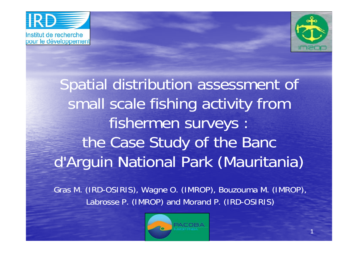



Spatial distribution assessment of small scale fishing activity from fishermen surveys : the Case Study of the Banc d'Arguin National Park (Mauritania)

Gras M. (IRD-OSIRIS), Wagne O. (IMROP), Bouzouma M. (IMROP), Labrosse P. (IMROP) and Morand P. (IRD-OSIRIS)

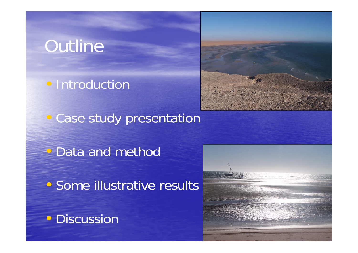### **Outline**

• Introduction



• Case study presentation

 $\overline{\mathbb{C}}$ Data and method

• Some illustrative results

• Discussion

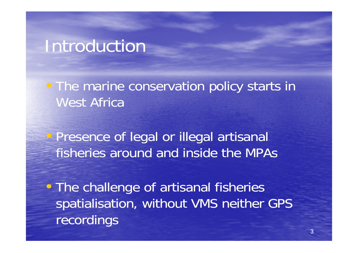#### Introduction

• The marine conservation policy starts in West Africa

 $\bigcirc$  Presence of legal or illegal artisanal fisheries around and inside the MPAs

• The challenge of artisanal fisheries spatialisation, without VMS neither GPS recordings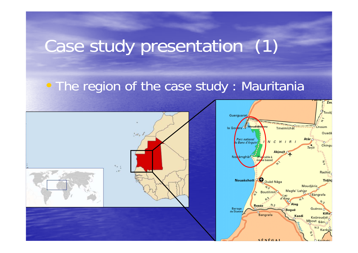#### Case study presentation (1) dy presen tation (1

#### • The region of the case study : Mauritania



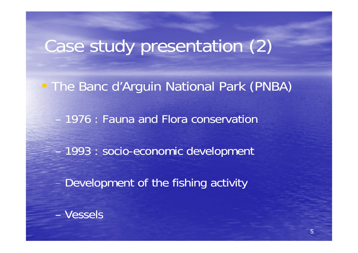# Case study presentation (2)

. The Banc d'Arguin National Park (PNBA)

1976 : Fauna and Flora conservation

- 1993 : socio-economic development

Development of the fishing activity

– Vessels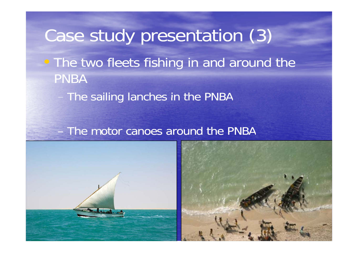# Case study presentation (3) • The two fleets fishing in and around the **PNBA**

The sailing lanches in the PNBA

#### The motor canoes around the PNBA



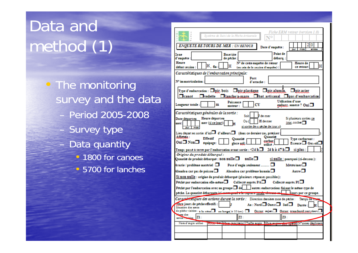# Data and method (1)

• The monitoring survey and the data Period 2005-2008 Survey type Data quantity • 1800 for canoes • 5700 for lanches

| Fiche ERM retour (version 1.0)<br>Svatéme de Suivi de la Pêche Artitanale<br><b>ENOUETE RETOURS DE MER : UN RETOUR</b>                                                                                                                                             |
|--------------------------------------------------------------------------------------------------------------------------------------------------------------------------------------------------------------------------------------------------------------------|
| Date d'enquête :<br>mola<br>mên                                                                                                                                                                                                                                    |
| Point de<br><b>Base/site</b><br>Zone<br>d'enquête<br>de pêche :<br>debarq.:<br>Heure<br>Nº de cette enquête de retour<br>Heure de<br>н<br>н<br>ce retour:<br>début session<br>(nu rein de la rerrion d'enquête) :                                                  |
|                                                                                                                                                                                                                                                                    |
| Caractéristiques de l'embarcation principale:<br>Port<br>N° immatriculation :<br>d'attache :                                                                                                                                                                       |
| Type d'embarcation : $\square$ pir, bois $\square$ pir, plastique $\square$ pir, alumin,<br>$\square$ pir,açier<br>$\Box$ vedette $\Box$ lanche/a-mare $\Box$ bat artisanal $\Box$ pas d'embarcation<br>$\Box$ canot                                               |
| Utilization d'une<br>Puissance<br>Longueur totale :<br>m<br>embarc, annexe ? Oui□<br>moteur:                                                                                                                                                                       |
| Caractéristiques générales de la sortie :<br>Soit<br>I de mer<br>Heure départen<br>Si phasiones sorties ce<br>Date départ en<br>Ou (<br>H domer<br>jour, cocher <sup>1</sup><br>mer (si co jour):<br>mer:<br>si sortio do « pocho do jour »)                       |
| Lieu départ en sortier d'ici $\Box$ d'ailleurs $\Box$ (dans ce dernier cas, préciser :<br>Affreitie :<br>Ouantité<br>Effectif<br>Type carburant:<br>Ouantité<br>carbur.<br>Oui□ Non□<br>equipage:<br>$\text{Expected} \square$ Gas-oil<br>glace util.:<br>utilise: |
| Temps passé à terre par l'embarcation avant sortie : $\leq$ 4 h $\Box$ 24 h à 47 h $\Box$<br>si plus :<br>Origine du produit débarqué :                                                                                                                            |
| Quantité de produit débarqué : non nulle $\Box$<br>$nulle \Box$<br>si nulle : pourquoi (ci-dessous):<br>Meteo/mer<br>Avarie / problème matériel $\,\Box\,$<br>Pose d'engin seulement                                                                               |
| $_{\text{Autre}}\Box$<br>Abandon car pas de poisson $\Box$<br>Abandon car problème humain                                                                                                                                                                          |
| Si non nulle : origine du produit débarqué (plusieurs réponses possibles):                                                                                                                                                                                         |
| Collecté suprès PA <sup>D</sup><br>Peche par embarcation elle-meme $\Box$<br>Collecté auprès PI <sup>I</sup>                                                                                                                                                       |
| Pêché par l'embarcation avec un groupe $\Box$ de $\Box$ autres embarcations faisant le même type de                                                                                                                                                                |
| pêche. La quantité débarquée isi conveyesse aux raqueses course voivent :<br>liours par ce groupe.                                                                                                                                                                 |
| Cargotinistiques des actions durant la sorúe : Direction demiers zone de peche :<br>Tempo do sue                                                                                                                                                                   |
| Akre jours de pêche effectifs :<br><b>I</b><br>$Au : Nord$ Ouest $\Box$ Sud $\Box$<br>Durée :                                                                                                                                                                      |
| Situation des zones<br>de pêche visitêrs : a la côte a su large ( $\geq$ 10 km) $\Box$<br>Occur mien <sup>1</sup> Occur transbord.verstiernL                                                                                                                       |
| ism der<br>73 -<br>79.<br>2000 15 May 21:                                                                                                                                                                                                                          |
| Guardian Microsoft Callo engin Microsoft Was apply N'2000 deglober<br>Nom d'engin utiliaé                                                                                                                                                                          |
|                                                                                                                                                                                                                                                                    |
|                                                                                                                                                                                                                                                                    |
|                                                                                                                                                                                                                                                                    |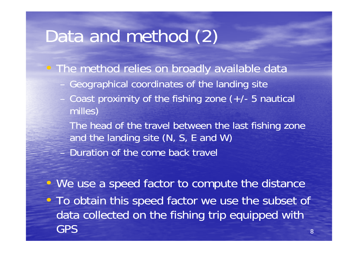### Data and method (2)

- The method relies on broadly available data
	- Geographical coordinates of the landing site
	- Coast proximity of the fishing zone  $(+/- 5$  nautical milles)

The head of the travel between the last fishing zone and the landing site (N, S, E and W) – Duration of the come back travel

• We use a speed factor to compute the distance • To obtain this speed factor we use the subset of data collected on the fishing trip equipped with GPS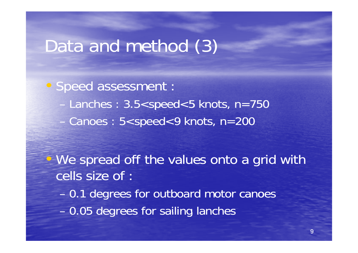#### Data and method (3)

• Speed assessment : Lanches :  $3.5 <$ speed $<$ 5 knots, n=750 –Canoes: 5<speed<9 knots, n=200

• We spread off the values onto a grid with cells size of :

–0.1 degrees for outboard motor canoes

–- 0.05 degrees for sailing lanches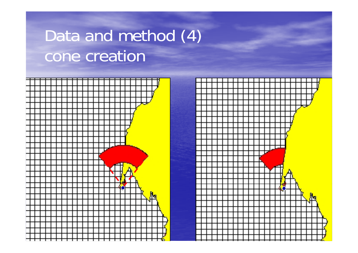# Data and method (4) cone creation



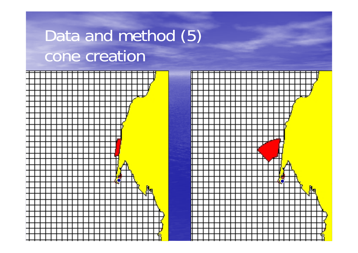# Data and method (5) cone creation



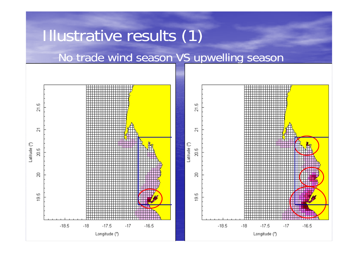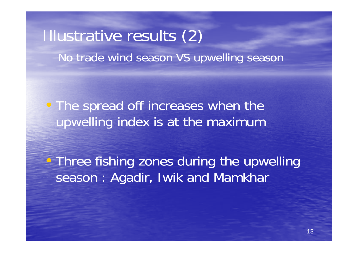#### Illustrative results (2) No trade wind season VS upwelling season

• The spread off increases when the upwelling index is at the maximum

 $\overline{\mathbb{C}}$ • Three fishing zones during the upwelling season : Agadir, Iwik and Mamkhar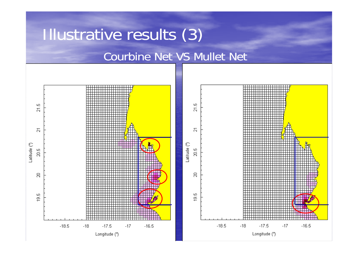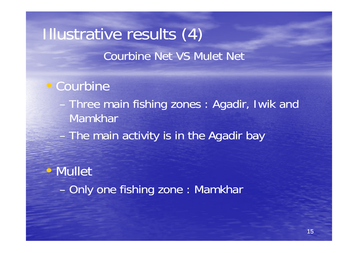### Illustrative results (4) Courbine Net VS Mulet Net

#### • Courbine

- Three main fishing zones : Agadir, Iwik and Mamkhar
- The main activity is in the Agadir bay

#### • Mullet

–Only one fishing zone: Mamkhar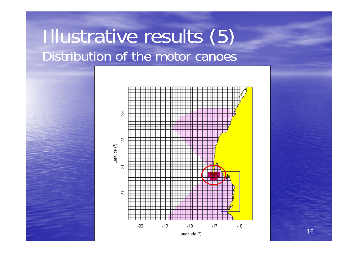### Illustrative results (5) Distribution of the motor canoes

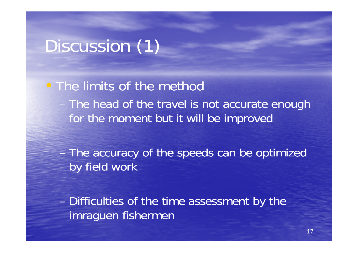## Discussion (1)

• The limits of the method - The head of the travel is not accurate enough for the moment but it will be improved

- The accuracy of the speeds can be optimized by field work

- Difficulties of the time assessment by the imraquen fishermen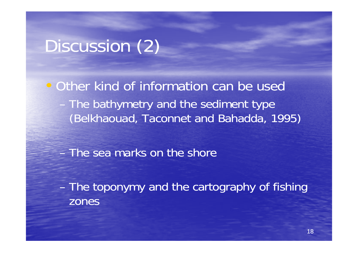## Discussion (2)

• Other kind of information can be used - The bathymetry and the sediment type (Belkhaouad, Taconnet and Bahadda, 1995)

- The sea marks on the shore

- The toponymy and the cartography of fishing zones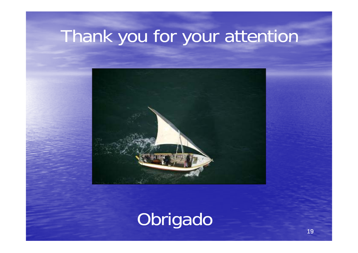# Thank you for your attention



# Obrigado